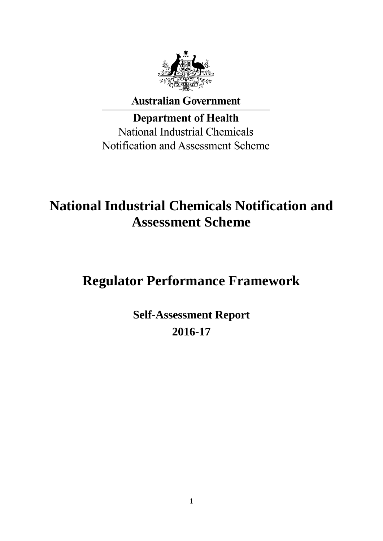

**Australian Government** 

**Department of Health National Industrial Chemicals** Notification and Assessment Scheme

# **National Industrial Chemicals Notification and Assessment Scheme**

# **Regulator Performance Framework**

**Self-Assessment Report 2016-17**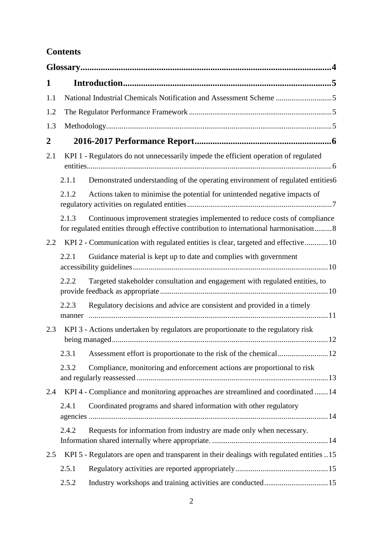# **Contents**

| 1                |                 |                                                                                                                                                                      |  |
|------------------|-----------------|----------------------------------------------------------------------------------------------------------------------------------------------------------------------|--|
| 1.1              |                 | National Industrial Chemicals Notification and Assessment Scheme 5                                                                                                   |  |
| 1.2              |                 |                                                                                                                                                                      |  |
| 1.3              |                 |                                                                                                                                                                      |  |
| $\boldsymbol{2}$ |                 |                                                                                                                                                                      |  |
| 2.1              |                 | KPI 1 - Regulators do not unnecessarily impede the efficient operation of regulated                                                                                  |  |
|                  | 2.1.1           | Demonstrated understanding of the operating environment of regulated entities6                                                                                       |  |
|                  | 2.1.2           | Actions taken to minimise the potential for unintended negative impacts of                                                                                           |  |
|                  | 2.1.3           | Continuous improvement strategies implemented to reduce costs of compliance<br>for regulated entities through effective contribution to international harmonisation8 |  |
| 2.2              |                 | KPI 2 - Communication with regulated entities is clear, targeted and effective 10                                                                                    |  |
|                  | 2.2.1           | Guidance material is kept up to date and complies with government                                                                                                    |  |
|                  | 2.2.2           | Targeted stakeholder consultation and engagement with regulated entities, to                                                                                         |  |
|                  | 2.2.3<br>manner | Regulatory decisions and advice are consistent and provided in a timely                                                                                              |  |
| 2.3              |                 | KPI 3 - Actions undertaken by regulators are proportionate to the regulatory risk                                                                                    |  |
|                  | 2.3.1           |                                                                                                                                                                      |  |
|                  | 2.3.2           | Compliance, monitoring and enforcement actions are proportional to risk                                                                                              |  |
| 2.4              |                 | KPI 4 - Compliance and monitoring approaches are streamlined and coordinated 14                                                                                      |  |
|                  | 2.4.1           | Coordinated programs and shared information with other regulatory                                                                                                    |  |
|                  | 2.4.2           | Requests for information from industry are made only when necessary.                                                                                                 |  |
| 2.5              |                 | KPI 5 - Regulators are open and transparent in their dealings with regulated entities 15                                                                             |  |
|                  | 2.5.1           |                                                                                                                                                                      |  |
|                  | 2.5.2           |                                                                                                                                                                      |  |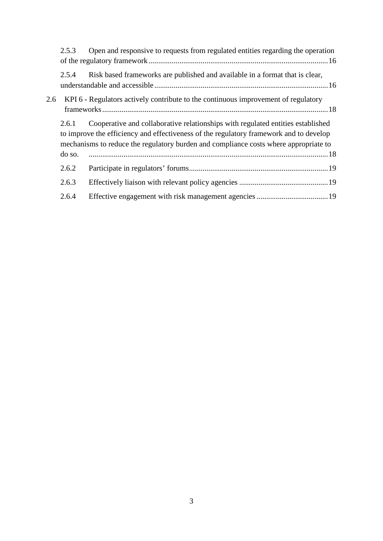|     | 2.5.3           | Open and responsive to requests from regulated entities regarding the operation                                                                                                                                                                                   |
|-----|-----------------|-------------------------------------------------------------------------------------------------------------------------------------------------------------------------------------------------------------------------------------------------------------------|
|     | 2.5.4           | Risk based frameworks are published and available in a format that is clear,                                                                                                                                                                                      |
| 2.6 |                 | KPI 6 - Regulators actively contribute to the continuous improvement of regulatory                                                                                                                                                                                |
|     | 2.6.1<br>do so. | Cooperative and collaborative relationships with regulated entities established<br>to improve the efficiency and effectiveness of the regulatory framework and to develop<br>mechanisms to reduce the regulatory burden and compliance costs where appropriate to |
|     | 2.6.2           |                                                                                                                                                                                                                                                                   |
|     | 2.6.3           |                                                                                                                                                                                                                                                                   |
|     | 2.6.4           |                                                                                                                                                                                                                                                                   |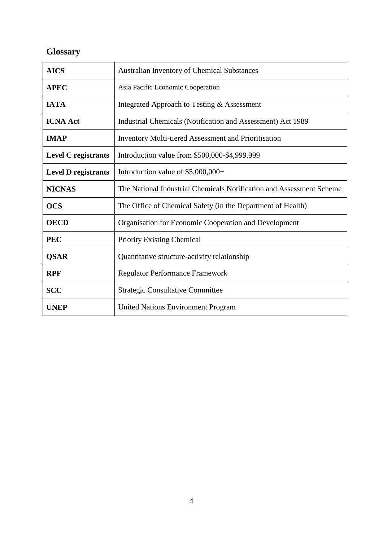# <span id="page-3-0"></span>**Glossary**

| <b>AICS</b>                | <b>Australian Inventory of Chemical Substances</b>                   |
|----------------------------|----------------------------------------------------------------------|
| <b>APEC</b>                | Asia Pacific Economic Cooperation                                    |
| <b>IATA</b>                | Integrated Approach to Testing & Assessment                          |
| <b>ICNA Act</b>            | Industrial Chemicals (Notification and Assessment) Act 1989          |
| <b>IMAP</b>                | <b>Inventory Multi-tiered Assessment and Prioritisation</b>          |
| <b>Level C</b> registrants | Introduction value from \$500,000-\$4,999,999                        |
| <b>Level D registrants</b> | Introduction value of $$5,000,000+$                                  |
| <b>NICNAS</b>              | The National Industrial Chemicals Notification and Assessment Scheme |
| <b>OCS</b>                 | The Office of Chemical Safety (in the Department of Health)          |
| <b>OECD</b>                | Organisation for Economic Cooperation and Development                |
| <b>PEC</b>                 | <b>Priority Existing Chemical</b>                                    |
| <b>QSAR</b>                | Quantitative structure-activity relationship                         |
| <b>RPF</b>                 | <b>Regulator Performance Framework</b>                               |
| <b>SCC</b>                 | <b>Strategic Consultative Committee</b>                              |
| <b>UNEP</b>                | <b>United Nations Environment Program</b>                            |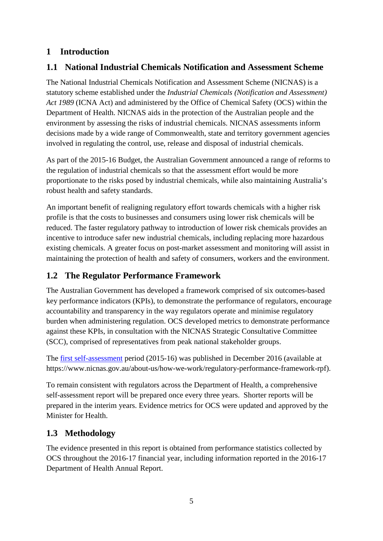### <span id="page-4-0"></span>**1 Introduction**

### <span id="page-4-1"></span>**1.1 National Industrial Chemicals Notification and Assessment Scheme**

The National Industrial Chemicals Notification and Assessment Scheme (NICNAS) is a statutory scheme established under the *Industrial Chemicals (Notification and Assessment) Act 1989* (ICNA Act) and administered by the Office of Chemical Safety (OCS) within the Department of Health. NICNAS aids in the protection of the Australian people and the environment by assessing the risks of industrial chemicals. NICNAS assessments inform decisions made by a wide range of Commonwealth, state and territory government agencies involved in regulating the control, use, release and disposal of industrial chemicals.

As part of the 2015-16 Budget, the Australian Government announced a range of reforms to the regulation of industrial chemicals so that the assessment effort would be more proportionate to the risks posed by industrial chemicals, while also maintaining Australia's robust health and safety standards.

An important benefit of realigning regulatory effort towards chemicals with a higher risk profile is that the costs to businesses and consumers using lower risk chemicals will be reduced. The faster regulatory pathway to introduction of lower risk chemicals provides an incentive to introduce safer new industrial chemicals, including replacing more hazardous existing chemicals. A greater focus on post-market assessment and monitoring will assist in maintaining the protection of health and safety of consumers, workers and the environment.

### <span id="page-4-2"></span>**1.2 The Regulator Performance Framework**

The Australian Government has developed a framework comprised of six outcomes-based key performance indicators (KPIs), to demonstrate the performance of regulators, encourage accountability and transparency in the way regulators operate and minimise regulatory burden when administering regulation. OCS developed metrics to demonstrate performance against these KPIs, in consultation with the NICNAS [Strategic Consultative Committee](https://www.nicnas.gov.au/about-us/advisory-groups/strategic-consultative-committee) (SCC), comprised of representatives from peak national stakeholder groups.

The [first self-assessment](https://www.nicnas.gov.au/about-us/how-we-work/regulatory-performance-framework-rpf) period (2015-16) was published in December 2016 (available at https://www.nicnas.gov.au/about-us/how-we-work/regulatory-performance-framework-rpf).

To remain consistent with regulators across the Department of Health, a comprehensive self-assessment report will be prepared once every three years. Shorter reports will be prepared in the interim years. Evidence metrics for OCS were updated and approved by the Minister for Health.

### <span id="page-4-3"></span>**1.3 Methodology**

The evidence presented in this report is obtained from performance statistics collected by OCS throughout the 2016-17 financial year, including information reported in the 2016-17 Department of Health Annual Report.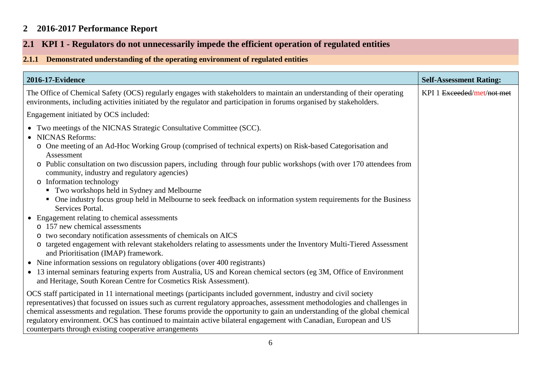## **2 2016-2017 Performance Report**

# **2.1 KPI 1 - Regulators do not unnecessarily impede the efficient operation of regulated entities**

### **2.1.1 Demonstrated understanding of the operating environment of regulated entities**

<span id="page-5-2"></span><span id="page-5-1"></span><span id="page-5-0"></span>

| <b>2016-17-Evidence</b>                                                                                                                                                                                                                                                                                                                                                                                                                                                                                                                                    | <b>Self-Assessment Rating:</b> |
|------------------------------------------------------------------------------------------------------------------------------------------------------------------------------------------------------------------------------------------------------------------------------------------------------------------------------------------------------------------------------------------------------------------------------------------------------------------------------------------------------------------------------------------------------------|--------------------------------|
| The Office of Chemical Safety (OCS) regularly engages with stakeholders to maintain an understanding of their operating<br>environments, including activities initiated by the regulator and participation in forums organised by stakeholders.                                                                                                                                                                                                                                                                                                            | KPI 1 Exceeded/met/not met     |
| Engagement initiated by OCS included:                                                                                                                                                                                                                                                                                                                                                                                                                                                                                                                      |                                |
| • Two meetings of the NICNAS Strategic Consultative Committee (SCC).<br>• NICNAS Reforms:<br>o One meeting of an Ad-Hoc Working Group (comprised of technical experts) on Risk-based Categorisation and                                                                                                                                                                                                                                                                                                                                                    |                                |
| Assessment<br>o Public consultation on two discussion papers, including through four public workshops (with over 170 attendees from<br>community, industry and regulatory agencies)<br>o Information technology                                                                                                                                                                                                                                                                                                                                            |                                |
| • Two workshops held in Sydney and Melbourne<br>One industry focus group held in Melbourne to seek feedback on information system requirements for the Business<br>$\blacksquare$<br>Services Portal.                                                                                                                                                                                                                                                                                                                                                      |                                |
| • Engagement relating to chemical assessments<br>157 new chemical assessments<br>$\circ$                                                                                                                                                                                                                                                                                                                                                                                                                                                                   |                                |
| o two secondary notification assessments of chemicals on AICS<br>o targeted engagement with relevant stakeholders relating to assessments under the Inventory Multi-Tiered Assessment<br>and Prioritisation (IMAP) framework.                                                                                                                                                                                                                                                                                                                              |                                |
| • Nine information sessions on regulatory obligations (over 400 registrants)<br>• 13 internal seminars featuring experts from Australia, US and Korean chemical sectors (eg 3M, Office of Environment<br>and Heritage, South Korean Centre for Cosmetics Risk Assessment).                                                                                                                                                                                                                                                                                 |                                |
| OCS staff participated in 11 international meetings (participants included government, industry and civil society<br>representatives) that focussed on issues such as current regulatory approaches, assessment methodologies and challenges in<br>chemical assessments and regulation. These forums provide the opportunity to gain an understanding of the global chemical<br>regulatory environment. OCS has continued to maintain active bilateral engagement with Canadian, European and US<br>counterparts through existing cooperative arrangements |                                |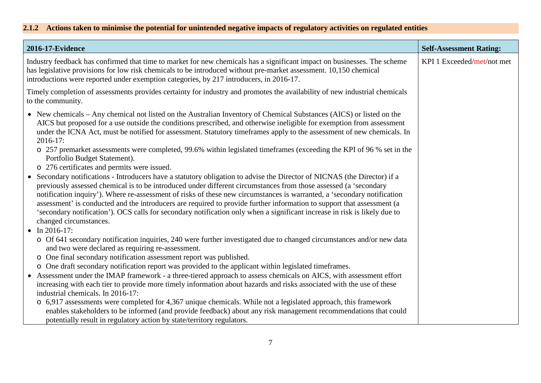# **2.1.2 Actions taken to minimise the potential for unintended negative impacts of regulatory activities on regulated entities**

<span id="page-6-0"></span>

| 2016-17-Evidence                                                                                                                                                                                                                                                                                                                                                                                                                                                                                                                                                                                                                                                                                                                                                                                                                                                                                                                                                                                                                                                                                                                                                                                                                                                                                                                                                                                      | <b>Self-Assessment Rating:</b> |
|-------------------------------------------------------------------------------------------------------------------------------------------------------------------------------------------------------------------------------------------------------------------------------------------------------------------------------------------------------------------------------------------------------------------------------------------------------------------------------------------------------------------------------------------------------------------------------------------------------------------------------------------------------------------------------------------------------------------------------------------------------------------------------------------------------------------------------------------------------------------------------------------------------------------------------------------------------------------------------------------------------------------------------------------------------------------------------------------------------------------------------------------------------------------------------------------------------------------------------------------------------------------------------------------------------------------------------------------------------------------------------------------------------|--------------------------------|
| Industry feedback has confirmed that time to market for new chemicals has a significant impact on businesses. The scheme<br>has legislative provisions for low risk chemicals to be introduced without pre-market assessment. 10,150 chemical<br>introductions were reported under exemption categories, by 217 introducers, in 2016-17.                                                                                                                                                                                                                                                                                                                                                                                                                                                                                                                                                                                                                                                                                                                                                                                                                                                                                                                                                                                                                                                              | KPI 1 Exceeded/met/not met     |
| Timely completion of assessments provides certainty for industry and promotes the availability of new industrial chemicals<br>to the community.                                                                                                                                                                                                                                                                                                                                                                                                                                                                                                                                                                                                                                                                                                                                                                                                                                                                                                                                                                                                                                                                                                                                                                                                                                                       |                                |
| • New chemicals – Any chemical not listed on the Australian Inventory of Chemical Substances (AICS) or listed on the<br>AICS but proposed for a use outside the conditions prescribed, and otherwise ineligible for exemption from assessment<br>under the ICNA Act, must be notified for assessment. Statutory timeframes apply to the assessment of new chemicals. In<br>$2016 - 17$ :<br>o 257 premarket assessments were completed, 99.6% within legislated timeframes (exceeding the KPI of 96 % set in the<br>Portfolio Budget Statement).<br>o 276 certificates and permits were issued.<br>• Secondary notifications - Introducers have a statutory obligation to advise the Director of NICNAS (the Director) if a<br>previously assessed chemical is to be introduced under different circumstances from those assessed (a 'secondary<br>notification inquiry'). Where re-assessment of risks of these new circumstances is warranted, a 'secondary notification<br>assessment' is conducted and the introducers are required to provide further information to support that assessment (a<br>'secondary notification'). OCS calls for secondary notification only when a significant increase in risk is likely due to<br>changed circumstances.<br>• In 2016-17:<br>o Of 641 secondary notification inquiries, 240 were further investigated due to changed circumstances and/or new data |                                |
| and two were declared as requiring re-assessment.<br>One final secondary notification assessment report was published.<br>$\circ$                                                                                                                                                                                                                                                                                                                                                                                                                                                                                                                                                                                                                                                                                                                                                                                                                                                                                                                                                                                                                                                                                                                                                                                                                                                                     |                                |
| One draft secondary notification report was provided to the applicant within legislated timeframes.<br>$\circ$<br>• Assessment under the IMAP framework - a three-tiered approach to assess chemicals on AICS, with assessment effort                                                                                                                                                                                                                                                                                                                                                                                                                                                                                                                                                                                                                                                                                                                                                                                                                                                                                                                                                                                                                                                                                                                                                                 |                                |
| increasing with each tier to provide more timely information about hazards and risks associated with the use of these                                                                                                                                                                                                                                                                                                                                                                                                                                                                                                                                                                                                                                                                                                                                                                                                                                                                                                                                                                                                                                                                                                                                                                                                                                                                                 |                                |
| industrial chemicals. In 2016-17:                                                                                                                                                                                                                                                                                                                                                                                                                                                                                                                                                                                                                                                                                                                                                                                                                                                                                                                                                                                                                                                                                                                                                                                                                                                                                                                                                                     |                                |
| o 6,917 assessments were completed for 4,367 unique chemicals. While not a legislated approach, this framework                                                                                                                                                                                                                                                                                                                                                                                                                                                                                                                                                                                                                                                                                                                                                                                                                                                                                                                                                                                                                                                                                                                                                                                                                                                                                        |                                |
| enables stakeholders to be informed (and provide feedback) about any risk management recommendations that could<br>potentially result in regulatory action by state/territory regulators.                                                                                                                                                                                                                                                                                                                                                                                                                                                                                                                                                                                                                                                                                                                                                                                                                                                                                                                                                                                                                                                                                                                                                                                                             |                                |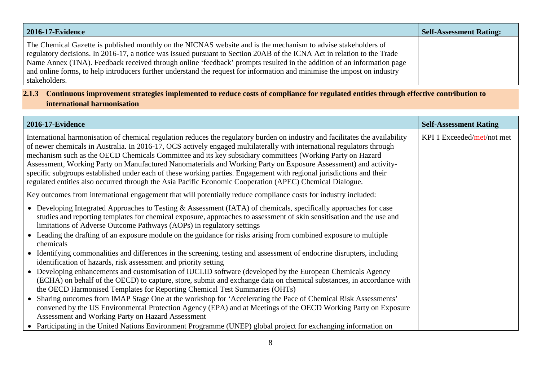| 2016-17-Evidence                                                                                                                                                                                                                                                                                                                                                                                                                                                                                                | <b>Self-Assessment Rating:</b> |
|-----------------------------------------------------------------------------------------------------------------------------------------------------------------------------------------------------------------------------------------------------------------------------------------------------------------------------------------------------------------------------------------------------------------------------------------------------------------------------------------------------------------|--------------------------------|
| The Chemical Gazette is published monthly on the NICNAS website and is the mechanism to advise stakeholders of<br>regulatory decisions. In 2016-17, a notice was issued pursuant to Section 20AB of the ICNA Act in relation to the Trade<br>Name Annex (TNA). Feedback received through online 'feedback' prompts resulted in the addition of an information page<br>and online forms, to help introducers further understand the request for information and minimise the impost on industry<br>stakeholders. |                                |

### **2.1.3 Continuous improvement strategies implemented to reduce costs of compliance for regulated entities through effective contribution to international harmonisation**

<span id="page-7-0"></span>

| 2016-17-Evidence                                                                                                                                                                                                                                                                                                                                                                                                                                                                                                                                                                                                                                                                                                            | <b>Self-Assessment Rating</b> |
|-----------------------------------------------------------------------------------------------------------------------------------------------------------------------------------------------------------------------------------------------------------------------------------------------------------------------------------------------------------------------------------------------------------------------------------------------------------------------------------------------------------------------------------------------------------------------------------------------------------------------------------------------------------------------------------------------------------------------------|-------------------------------|
| International harmonisation of chemical regulation reduces the regulatory burden on industry and facilitates the availability<br>of newer chemicals in Australia. In 2016-17, OCS actively engaged multilaterally with international regulators through<br>mechanism such as the OECD Chemicals Committee and its key subsidiary committees (Working Party on Hazard<br>Assessment, Working Party on Manufactured Nanomaterials and Working Party on Exposure Assessment) and activity-<br>specific subgroups established under each of these working parties. Engagement with regional jurisdictions and their<br>regulated entities also occurred through the Asia Pacific Economic Cooperation (APEC) Chemical Dialogue. | KPI 1 Exceeded/met/not met    |
| Key outcomes from international engagement that will potentially reduce compliance costs for industry included:                                                                                                                                                                                                                                                                                                                                                                                                                                                                                                                                                                                                             |                               |
| • Developing Integrated Approaches to Testing & Assessment (IATA) of chemicals, specifically approaches for case<br>studies and reporting templates for chemical exposure, approaches to assessment of skin sensitisation and the use and<br>limitations of Adverse Outcome Pathways (AOPs) in regulatory settings<br>• Leading the drafting of an exposure module on the guidance for risks arising from combined exposure to multiple<br>chemicals                                                                                                                                                                                                                                                                        |                               |
| Identifying commonalities and differences in the screening, testing and assessment of endocrine disrupters, including<br>identification of hazards, risk assessment and priority setting                                                                                                                                                                                                                                                                                                                                                                                                                                                                                                                                    |                               |
| Developing enhancements and customisation of IUCLID software (developed by the European Chemicals Agency<br>(ECHA) on behalf of the OECD) to capture, store, submit and exchange data on chemical substances, in accordance with<br>the OECD Harmonised Templates for Reporting Chemical Test Summaries (OHTs)                                                                                                                                                                                                                                                                                                                                                                                                              |                               |
| Sharing outcomes from IMAP Stage One at the workshop for 'Accelerating the Pace of Chemical Risk Assessments'<br>convened by the US Environmental Protection Agency (EPA) and at Meetings of the OECD Working Party on Exposure<br>Assessment and Working Party on Hazard Assessment                                                                                                                                                                                                                                                                                                                                                                                                                                        |                               |
| Participating in the United Nations Environment Programme (UNEP) global project for exchanging information on                                                                                                                                                                                                                                                                                                                                                                                                                                                                                                                                                                                                               |                               |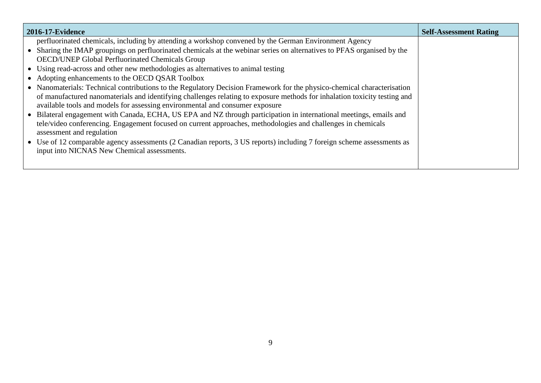| 2016-17-Evidence                                                                                                          | <b>Self-Assessment Rating</b> |
|---------------------------------------------------------------------------------------------------------------------------|-------------------------------|
| perfluorinated chemicals, including by attending a workshop convened by the German Environment Agency                     |                               |
| • Sharing the IMAP groupings on perfluorinated chemicals at the webinar series on alternatives to PFAS organised by the   |                               |
| OECD/UNEP Global Perfluorinated Chemicals Group                                                                           |                               |
| • Using read-across and other new methodologies as alternatives to animal testing                                         |                               |
| • Adopting enhancements to the OECD QSAR Toolbox                                                                          |                               |
| • Nanomaterials: Technical contributions to the Regulatory Decision Framework for the physico-chemical characterisation   |                               |
| of manufactured nanomaterials and identifying challenges relating to exposure methods for inhalation toxicity testing and |                               |
| available tools and models for assessing environmental and consumer exposure                                              |                               |
| • Bilateral engagement with Canada, ECHA, US EPA and NZ through participation in international meetings, emails and       |                               |
| tele/video conferencing. Engagement focused on current approaches, methodologies and challenges in chemicals              |                               |
| assessment and regulation                                                                                                 |                               |
| • Use of 12 comparable agency assessments (2 Canadian reports, 3 US reports) including 7 foreign scheme assessments as    |                               |
| input into NICNAS New Chemical assessments.                                                                               |                               |
|                                                                                                                           |                               |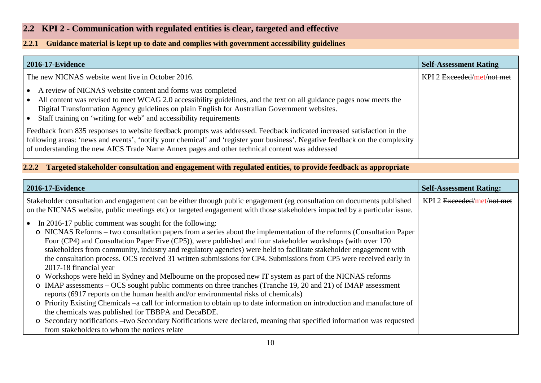### **2.2 KPI 2 - Communication with regulated entities is clear, targeted and effective**

#### **2.2.1 Guidance material is kept up to date and complies with government accessibility guidelines**

| 2016-17-Evidence                                                                                                                                                                                                                                                                                                                                                                     | <b>Self-Assessment Rating</b> |
|--------------------------------------------------------------------------------------------------------------------------------------------------------------------------------------------------------------------------------------------------------------------------------------------------------------------------------------------------------------------------------------|-------------------------------|
| The new NICNAS website went live in October 2016.                                                                                                                                                                                                                                                                                                                                    | KPI 2 Exceeded/met/not met    |
| A review of NICNAS website content and forms was completed<br>$\bullet$<br>All content was revised to meet WCAG 2.0 accessibility guidelines, and the text on all guidance pages now meets the<br>$\bullet$<br>Digital Transformation Agency guidelines on plain English for Australian Government websites.<br>• Staff training on 'writing for web" and accessibility requirements |                               |
| Feedback from 835 responses to website feedback prompts was addressed. Feedback indicated increased satisfaction in the<br>following areas: 'news and events', 'notify your chemical' and 'register your business'. Negative feedback on the complexity<br>of understanding the new AICS Trade Name Annex pages and other technical content was addressed                            |                               |

### **2.2.2 Targeted stakeholder consultation and engagement with regulated entities, to provide feedback as appropriate**

<span id="page-9-2"></span><span id="page-9-1"></span><span id="page-9-0"></span>

| <b>2016-17-Evidence</b>                                                                                                                                                                                                                                                                                                                                                                                                                                                                                                                                                | <b>Self-Assessment Rating:</b> |
|------------------------------------------------------------------------------------------------------------------------------------------------------------------------------------------------------------------------------------------------------------------------------------------------------------------------------------------------------------------------------------------------------------------------------------------------------------------------------------------------------------------------------------------------------------------------|--------------------------------|
| Stakeholder consultation and engagement can be either through public engagement (eg consultation on documents published<br>on the NICNAS website, public meetings etc) or targeted engagement with those stakeholders impacted by a particular issue.                                                                                                                                                                                                                                                                                                                  | KPI 2 Exceeded/met/not met     |
| • In 2016-17 public comment was sought for the following:<br>o NICNAS Reforms – two consultation papers from a series about the implementation of the reforms (Consultation Paper<br>Four (CP4) and Consultation Paper Five (CP5)), were published and four stakeholder workshops (with over 170<br>stakeholders from community, industry and regulatory agencies) were held to facilitate stakeholder engagement with<br>the consultation process. OCS received 31 written submissions for CP4. Submissions from CP5 were received early in<br>2017-18 financial year |                                |
| o Workshops were held in Sydney and Melbourne on the proposed new IT system as part of the NICNAS reforms                                                                                                                                                                                                                                                                                                                                                                                                                                                              |                                |
| o IMAP assessments – OCS sought public comments on three tranches (Tranche 19, 20 and 21) of IMAP assessment<br>reports (6917 reports on the human health and/or environmental risks of chemicals)                                                                                                                                                                                                                                                                                                                                                                     |                                |
| o Priority Existing Chemicals –a call for information to obtain up to date information on introduction and manufacture of<br>the chemicals was published for TBBPA and DecaBDE.                                                                                                                                                                                                                                                                                                                                                                                        |                                |
| o Secondary notifications – two Secondary Notifications were declared, meaning that specified information was requested<br>from stakeholders to whom the notices relate                                                                                                                                                                                                                                                                                                                                                                                                |                                |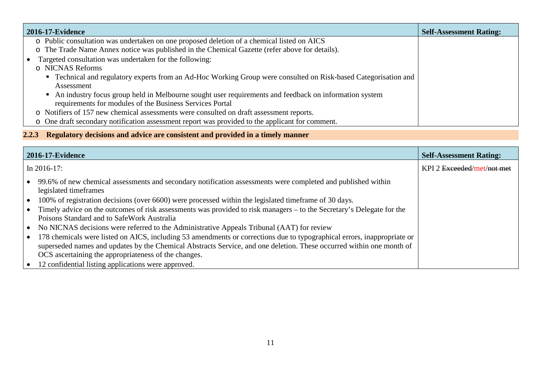| 2016-17-Evidence                                                                                                | <b>Self-Assessment Rating:</b> |
|-----------------------------------------------------------------------------------------------------------------|--------------------------------|
| o Public consultation was undertaken on one proposed deletion of a chemical listed on AICS                      |                                |
| o The Trade Name Annex notice was published in the Chemical Gazette (refer above for details).                  |                                |
| Targeted consultation was undertaken for the following:<br>$\bullet$                                            |                                |
| o NICNAS Reforms                                                                                                |                                |
| • Technical and regulatory experts from an Ad-Hoc Working Group were consulted on Risk-based Categorisation and |                                |
| Assessment                                                                                                      |                                |
| • An industry focus group held in Melbourne sought user requirements and feedback on information system         |                                |
| requirements for modules of the Business Services Portal                                                        |                                |
| o Notifiers of 157 new chemical assessments were consulted on draft assessment reports.                         |                                |
| o One draft secondary notification assessment report was provided to the applicant for comment.                 |                                |

# **2.2.3 Regulatory decisions and advice are consistent and provided in a timely manner**

<span id="page-10-0"></span>

| <b>2016-17-Evidence</b> |                                                                                                                                                                                                                                                                                                                                                                               | <b>Self-Assessment Rating:</b> |
|-------------------------|-------------------------------------------------------------------------------------------------------------------------------------------------------------------------------------------------------------------------------------------------------------------------------------------------------------------------------------------------------------------------------|--------------------------------|
|                         | In $2016-17$ :                                                                                                                                                                                                                                                                                                                                                                | KPI 2 Exceeded/met/not met     |
|                         | • 99.6% of new chemical assessments and secondary notification assessments were completed and published within<br>legislated timeframes<br>• 100% of registration decisions (over 6600) were processed within the legislated timeframe of 30 days.<br>• Timely advice on the outcomes of risk assessments was provided to risk managers – to the Secretary's Delegate for the |                                |
|                         | Poisons Standard and to SafeWork Australia<br>• No NICNAS decisions were referred to the Administrative Appeals Tribunal (AAT) for review                                                                                                                                                                                                                                     |                                |
|                         | • 178 chemicals were listed on AICS, including 53 amendments or corrections due to typographical errors, inappropriate or<br>superseded names and updates by the Chemical Abstracts Service, and one deletion. These occurred within one month of                                                                                                                             |                                |
|                         | OCS ascertaining the appropriateness of the changes.<br>• 12 confidential listing applications were approved.                                                                                                                                                                                                                                                                 |                                |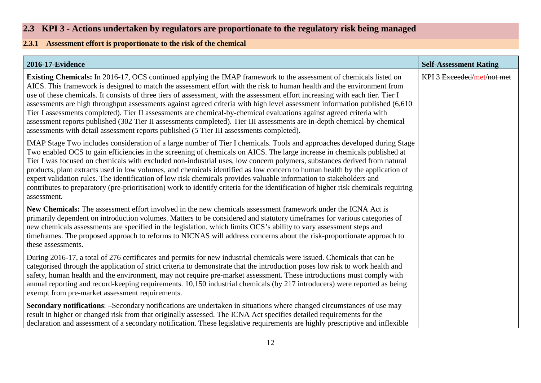## **2.3 KPI 3 - Actions undertaken by regulators are proportionate to the regulatory risk being managed**

## **2.3.1 Assessment effort is proportionate to the risk of the chemical**

<span id="page-11-1"></span><span id="page-11-0"></span>

| <b>2016-17-Evidence</b>                                                                                                                                                                                                                                                                                                                                                                                                                                                                                                                                                                                                                                                                                                                                                                                                                                               | <b>Self-Assessment Rating</b> |
|-----------------------------------------------------------------------------------------------------------------------------------------------------------------------------------------------------------------------------------------------------------------------------------------------------------------------------------------------------------------------------------------------------------------------------------------------------------------------------------------------------------------------------------------------------------------------------------------------------------------------------------------------------------------------------------------------------------------------------------------------------------------------------------------------------------------------------------------------------------------------|-------------------------------|
| <b>Existing Chemicals:</b> In 2016-17, OCS continued applying the IMAP framework to the assessment of chemicals listed on<br>AICS. This framework is designed to match the assessment effort with the risk to human health and the environment from<br>use of these chemicals. It consists of three tiers of assessment, with the assessment effort increasing with each tier. Tier I<br>assessments are high throughput assessments against agreed criteria with high level assessment information published (6,610)<br>Tier I assessments completed). Tier II assessments are chemical-by-chemical evaluations against agreed criteria with<br>assessment reports published (302 Tier II assessments completed). Tier III assessments are in-depth chemical-by-chemical<br>assessments with detail assessment reports published (5 Tier III assessments completed). | KPI 3 Exceeded/met/not met    |
| IMAP Stage Two includes consideration of a large number of Tier I chemicals. Tools and approaches developed during Stage<br>Two enabled OCS to gain efficiencies in the screening of chemicals on AICS. The large increase in chemicals published at<br>Tier I was focused on chemicals with excluded non-industrial uses, low concern polymers, substances derived from natural<br>products, plant extracts used in low volumes, and chemicals identified as low concern to human health by the application of<br>expert validation rules. The identification of low risk chemicals provides valuable information to stakeholders and<br>contributes to preparatory (pre-prioritisation) work to identify criteria for the identification of higher risk chemicals requiring<br>assessment.                                                                          |                               |
| New Chemicals: The assessment effort involved in the new chemicals assessment framework under the ICNA Act is<br>primarily dependent on introduction volumes. Matters to be considered and statutory timeframes for various categories of<br>new chemicals assessments are specified in the legislation, which limits OCS's ability to vary assessment steps and<br>timeframes. The proposed approach to reforms to NICNAS will address concerns about the risk-proportionate approach to<br>these assessments.                                                                                                                                                                                                                                                                                                                                                       |                               |
| During 2016-17, a total of 276 certificates and permits for new industrial chemicals were issued. Chemicals that can be<br>categorised through the application of strict criteria to demonstrate that the introduction poses low risk to work health and<br>safety, human health and the environment, may not require pre-market assessment. These introductions must comply with<br>annual reporting and record-keeping requirements. 10,150 industrial chemicals (by 217 introducers) were reported as being<br>exempt from pre-market assessment requirements.                                                                                                                                                                                                                                                                                                     |                               |
| <b>Secondary notifications:</b> -Secondary notifications are undertaken in situations where changed circumstances of use may<br>result in higher or changed risk from that originally assessed. The ICNA Act specifies detailed requirements for the<br>declaration and assessment of a secondary notification. These legislative requirements are highly prescriptive and inflexible                                                                                                                                                                                                                                                                                                                                                                                                                                                                                 |                               |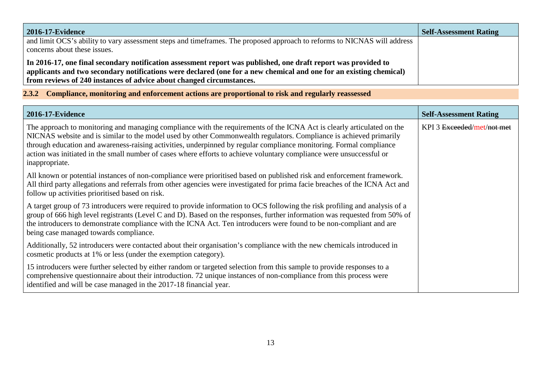| <b>2016-17-Evidence</b>                                                                                                                                                                                                              | <b>Self-Assessment Rating</b> |
|--------------------------------------------------------------------------------------------------------------------------------------------------------------------------------------------------------------------------------------|-------------------------------|
| and limit OCS's ability to vary assessment steps and timeframes. The proposed approach to reforms to NICNAS will address<br>concerns about these issues.                                                                             |                               |
| In 2016-17, one final secondary notification assessment report was published, one draft report was provided to<br>applicants and two secondary notifications were declared (one for a new chemical and one for an existing chemical) |                               |
| from reviews of 240 instances of advice about changed circumstances.                                                                                                                                                                 |                               |

**2.3.2 Compliance, monitoring and enforcement actions are proportional to risk and regularly reassessed**

<span id="page-12-0"></span>

| 2016-17-Evidence                                                                                                                                                                                                                                                                                                                                                                                                                                                                                              | <b>Self-Assessment Rating</b> |
|---------------------------------------------------------------------------------------------------------------------------------------------------------------------------------------------------------------------------------------------------------------------------------------------------------------------------------------------------------------------------------------------------------------------------------------------------------------------------------------------------------------|-------------------------------|
| The approach to monitoring and managing compliance with the requirements of the ICNA Act is clearly articulated on the<br>NICNAS website and is similar to the model used by other Commonwealth regulators. Compliance is achieved primarily<br>through education and awareness-raising activities, underpinned by regular compliance monitoring. Formal compliance<br>action was initiated in the small number of cases where efforts to achieve voluntary compliance were unsuccessful or<br>inappropriate. | KPI 3 Exceeded/met/not met    |
| All known or potential instances of non-compliance were prioritised based on published risk and enforcement framework.<br>All third party allegations and referrals from other agencies were investigated for prima facie breaches of the ICNA Act and<br>follow up activities prioritised based on risk.                                                                                                                                                                                                     |                               |
| A target group of 73 introducers were required to provide information to OCS following the risk profiling and analysis of a<br>group of 666 high level registrants (Level C and D). Based on the responses, further information was requested from 50% of<br>the introducers to demonstrate compliance with the ICNA Act. Ten introducers were found to be non-compliant and are<br>being case managed towards compliance.                                                                                    |                               |
| Additionally, 52 introducers were contacted about their organisation's compliance with the new chemicals introduced in<br>cosmetic products at 1% or less (under the exemption category).                                                                                                                                                                                                                                                                                                                     |                               |
| 15 introducers were further selected by either random or targeted selection from this sample to provide responses to a<br>comprehensive questionnaire about their introduction. 72 unique instances of non-compliance from this process were<br>identified and will be case managed in the 2017-18 financial year.                                                                                                                                                                                            |                               |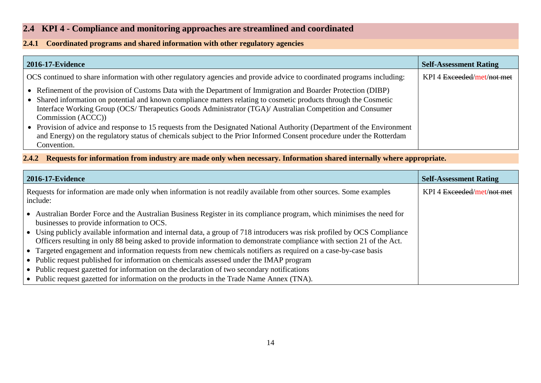## **2.4 KPI 4 - Compliance and monitoring approaches are streamlined and coordinated**

#### **2.4.1 Coordinated programs and shared information with other regulatory agencies**

| <b>2016-17-Evidence</b>                                                                                                                                                                                                                                                                                                                                                                                                                                                                                                                                                                                                                   | <b>Self-Assessment Rating</b> |
|-------------------------------------------------------------------------------------------------------------------------------------------------------------------------------------------------------------------------------------------------------------------------------------------------------------------------------------------------------------------------------------------------------------------------------------------------------------------------------------------------------------------------------------------------------------------------------------------------------------------------------------------|-------------------------------|
| OCS continued to share information with other regulatory agencies and provide advice to coordinated programs including:                                                                                                                                                                                                                                                                                                                                                                                                                                                                                                                   | KPI 4 Exceeded/met/not met    |
| • Refinement of the provision of Customs Data with the Department of Immigration and Boarder Protection (DIBP)<br>• Shared information on potential and known compliance matters relating to cosmetic products through the Cosmetic<br>Interface Working Group (OCS/ Therapeutics Goods Administrator (TGA)/ Australian Competition and Consumer<br>Commission (ACCC))<br>• Provision of advice and response to 15 requests from the Designated National Authority (Department of the Environment<br>and Energy) on the regulatory status of chemicals subject to the Prior Informed Consent procedure under the Rotterdam<br>Convention. |                               |

**2.4.2 Requests for information from industry are made only when necessary. Information shared internally where appropriate.**

<span id="page-13-2"></span><span id="page-13-1"></span><span id="page-13-0"></span>

| <b>2016-17-Evidence</b>                                                                                                                                                                                                                            | <b>Self-Assessment Rating</b> |
|----------------------------------------------------------------------------------------------------------------------------------------------------------------------------------------------------------------------------------------------------|-------------------------------|
| Requests for information are made only when information is not readily available from other sources. Some examples<br>include:                                                                                                                     | KPI 4 Exceeded/met/not met    |
| • Australian Border Force and the Australian Business Register in its compliance program, which minimises the need for<br>businesses to provide information to OCS.                                                                                |                               |
| • Using publicly available information and internal data, a group of 718 introducers was risk profiled by OCS Compliance<br>Officers resulting in only 88 being asked to provide information to demonstrate compliance with section 21 of the Act. |                               |
| • Targeted engagement and information requests from new chemicals notifiers as required on a case-by-case basis                                                                                                                                    |                               |
| • Public request published for information on chemicals assessed under the IMAP program                                                                                                                                                            |                               |
| • Public request gazetted for information on the declaration of two secondary notifications                                                                                                                                                        |                               |
| • Public request gazetted for information on the products in the Trade Name Annex (TNA).                                                                                                                                                           |                               |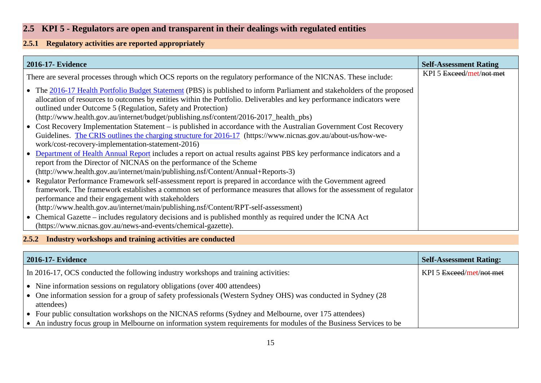## **2.5 KPI 5 - Regulators are open and transparent in their dealings with regulated entities**

### **2.5.1 Regulatory activities are reported appropriately**

| 2016-17- Evidence                                                                                                                                                                                                                                                                                                                                                                                            | <b>Self-Assessment Rating</b> |
|--------------------------------------------------------------------------------------------------------------------------------------------------------------------------------------------------------------------------------------------------------------------------------------------------------------------------------------------------------------------------------------------------------------|-------------------------------|
| There are several processes through which OCS reports on the regulatory performance of the NICNAS. These include:                                                                                                                                                                                                                                                                                            | KPI 5 Exceed/met/not met      |
| • The 2016-17 Health Portfolio Budget Statement (PBS) is published to inform Parliament and stakeholders of the proposed<br>allocation of resources to outcomes by entities within the Portfolio. Deliverables and key performance indicators were<br>outlined under Outcome 5 (Regulation, Safety and Protection)<br>(http://www.health.gov.au/internet/budget/publishing.nsf/content/2016-2017_health_pbs) |                               |
| • Cost Recovery Implementation Statement – is published in accordance with the Australian Government Cost Recovery<br>Guidelines. The CRIS outlines the charging structure for 2016-17 (https://www.nicnas.gov.au/about-us/how-we-<br>work/cost-recovery-implementation-statement-2016)                                                                                                                      |                               |
| • Department of Health Annual Report includes a report on actual results against PBS key performance indicators and a<br>report from the Director of NICNAS on the performance of the Scheme<br>(http://www.health.gov.au/internet/main/publishing.nsf/Content/Annual+Reports-3)                                                                                                                             |                               |
| • Regulator Performance Framework self-assessment report is prepared in accordance with the Government agreed<br>framework. The framework establishes a common set of performance measures that allows for the assessment of regulator<br>performance and their engagement with stakeholders<br>(http://www.health.gov.au/internet/main/publishing.nsf/Content/RPT-self-assessment)                          |                               |
| • Chemical Gazette – includes regulatory decisions and is published monthly as required under the ICNA Act<br>(https://www.nicnas.gov.au/news-and-events/chemical-gazette).                                                                                                                                                                                                                                  |                               |

### <span id="page-14-1"></span><span id="page-14-0"></span>**2.5.2 Industry workshops and training activities are conducted**

<span id="page-14-2"></span>

| 2016-17- Evidence                                                                                                                                                                                            | <b>Self-Assessment Rating:</b> |
|--------------------------------------------------------------------------------------------------------------------------------------------------------------------------------------------------------------|--------------------------------|
| In 2016-17, OCS conducted the following industry workshops and training activities:                                                                                                                          | KPI 5 Exceed/met/not met       |
| • Nine information sessions on regulatory obligations (over 400 attendees)<br>• One information session for a group of safety professionals (Western Sydney OHS) was conducted in Sydney $(28$<br>attendees) |                                |
| • Four public consultation workshops on the NICNAS reforms (Sydney and Melbourne, over 175 attendees)                                                                                                        |                                |
| $\bullet$ An industry focus group in Melbourne on information system requirements for modules of the Business Services to be                                                                                 |                                |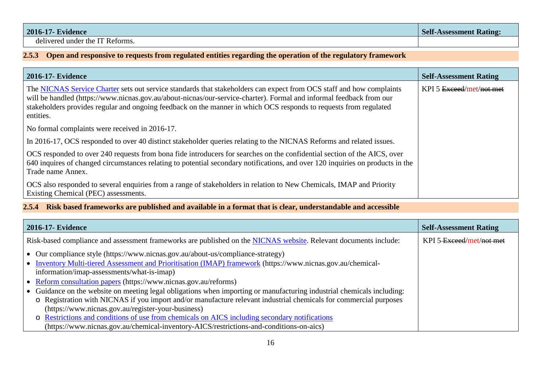| <b>2016-17- Evidence</b>        | <b>Self-Assessment Rating:</b> |
|---------------------------------|--------------------------------|
| delivered under the IT Reforms. |                                |

### **2.5.3 Open and responsive to requests from regulated entities regarding the operation of the regulatory framework**

| <b>2016-17- Evidence</b>                                                                                                                                                                                                                                                                                                                                                      | <b>Self-Assessment Rating</b> |
|-------------------------------------------------------------------------------------------------------------------------------------------------------------------------------------------------------------------------------------------------------------------------------------------------------------------------------------------------------------------------------|-------------------------------|
| The NICNAS Service Charter sets out service standards that stakeholders can expect from OCS staff and how complaints<br>will be handled (https://www.nicnas.gov.au/about-nicnas/our-service-charter). Formal and informal feedback from our<br>stakeholders provides regular and ongoing feedback on the manner in which OCS responds to requests from regulated<br>entities. | KPI 5 Exceed/met/not met      |
| No formal complaints were received in 2016-17.                                                                                                                                                                                                                                                                                                                                |                               |
| In 2016-17, OCS responded to over 40 distinct stakeholder queries relating to the NICNAS Reforms and related issues.                                                                                                                                                                                                                                                          |                               |
| OCS responded to over 240 requests from bona fide introducers for searches on the confidential section of the AICS, over<br>640 inquires of changed circumstances relating to potential secondary notifications, and over 120 inquiries on products in the<br>Trade name Annex.                                                                                               |                               |
| OCS also responded to several enquiries from a range of stakeholders in relation to New Chemicals, IMAP and Priority<br>Existing Chemical (PEC) assessments.                                                                                                                                                                                                                  |                               |

#### <span id="page-15-0"></span>**2.5.4 Risk based frameworks are published and available in a format that is clear, understandable and accessible**

<span id="page-15-1"></span>

| <b>2016-17- Evidence</b>                                                                                               | <b>Self-Assessment Rating</b> |
|------------------------------------------------------------------------------------------------------------------------|-------------------------------|
| Risk-based compliance and assessment frameworks are published on the NICNAS website. Relevant documents include:       | KPI 5-Exceed/met/not-met      |
| • Our compliance style (https://www.nicnas.gov.au/about-us/compliance-strategy)                                        |                               |
| • Inventory Multi-tiered Assessment and Prioritisation (IMAP) framework (https://www.nicnas.gov.au/chemical-           |                               |
| information/imap-assessments/what-is-imap)                                                                             |                               |
| • Reform consultation papers (https://www.nicnas.gov.au/reforms)                                                       |                               |
| • Guidance on the website on meeting legal obligations when importing or manufacturing industrial chemicals including: |                               |
| o Registration with NICNAS if you import and/or manufacture relevant industrial chemicals for commercial purposes      |                               |
| (https://www.nicnas.gov.au/register-your-business)                                                                     |                               |
| o Restrictions and conditions of use from chemicals on AICS including secondary notifications                          |                               |
| (https://www.nicnas.gov.au/chemical-inventory-AICS/restrictions-and-conditions-on-aics)                                |                               |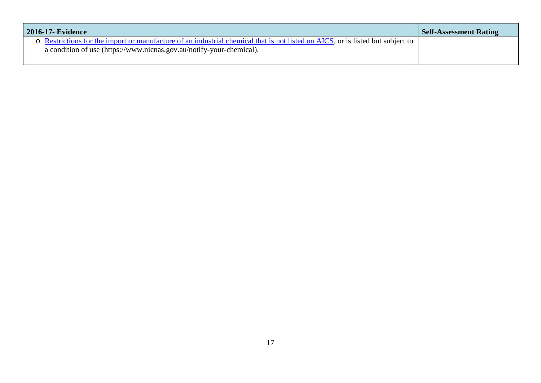| <b>2016-17- Evidence</b>                                                                                                                                                                               | <b>Self-Assessment Rating</b> |
|--------------------------------------------------------------------------------------------------------------------------------------------------------------------------------------------------------|-------------------------------|
| o Restrictions for the import or manufacture of an industrial chemical that is not listed on AICS, or is listed but subject to<br>a condition of use (https://www.nicnas.gov.au/notify-your-chemical). |                               |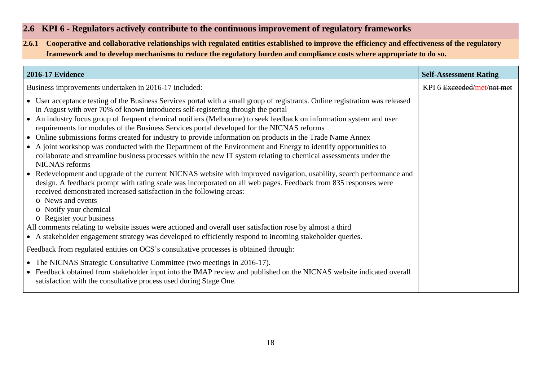### **2.6 KPI 6 - Regulators actively contribute to the continuous improvement of regulatory frameworks**

**2.6.1 Cooperative and collaborative relationships with regulated entities established to improve the efficiency and effectiveness of the regulatory framework and to develop mechanisms to reduce the regulatory burden and compliance costs where appropriate to do so.**

<span id="page-17-2"></span><span id="page-17-1"></span><span id="page-17-0"></span>

| <b>2016-17 Evidence</b>                                                                                                                                                                                                                                                                                                                                                                                                                                                                                                                                                                                                                                                                                                                                                                                                                                                                                                                                                                                                                                                                                                                                                                                                                                                                                                                                                                                                                  | <b>Self-Assessment Rating</b> |
|------------------------------------------------------------------------------------------------------------------------------------------------------------------------------------------------------------------------------------------------------------------------------------------------------------------------------------------------------------------------------------------------------------------------------------------------------------------------------------------------------------------------------------------------------------------------------------------------------------------------------------------------------------------------------------------------------------------------------------------------------------------------------------------------------------------------------------------------------------------------------------------------------------------------------------------------------------------------------------------------------------------------------------------------------------------------------------------------------------------------------------------------------------------------------------------------------------------------------------------------------------------------------------------------------------------------------------------------------------------------------------------------------------------------------------------|-------------------------------|
| Business improvements undertaken in 2016-17 included:                                                                                                                                                                                                                                                                                                                                                                                                                                                                                                                                                                                                                                                                                                                                                                                                                                                                                                                                                                                                                                                                                                                                                                                                                                                                                                                                                                                    | KPI 6 Exceeded/met/not met    |
| • User acceptance testing of the Business Services portal with a small group of registrants. Online registration was released<br>in August with over 70% of known introducers self-registering through the portal<br>• An industry focus group of frequent chemical notifiers (Melbourne) to seek feedback on information system and user<br>requirements for modules of the Business Services portal developed for the NICNAS reforms<br>• Online submissions forms created for industry to provide information on products in the Trade Name Annex<br>• A joint workshop was conducted with the Department of the Environment and Energy to identify opportunities to<br>collaborate and streamline business processes within the new IT system relating to chemical assessments under the<br>NICNAS reforms<br>• Redevelopment and upgrade of the current NICNAS website with improved navigation, usability, search performance and<br>design. A feedback prompt with rating scale was incorporated on all web pages. Feedback from 835 responses were<br>received demonstrated increased satisfaction in the following areas:<br>o News and events<br>o Notify your chemical<br>o Register your business<br>All comments relating to website issues were actioned and overall user satisfaction rose by almost a third<br>• A stakeholder engagement strategy was developed to efficiently respond to incoming stakeholder queries. |                               |
| Feedback from regulated entities on OCS's consultative processes is obtained through:                                                                                                                                                                                                                                                                                                                                                                                                                                                                                                                                                                                                                                                                                                                                                                                                                                                                                                                                                                                                                                                                                                                                                                                                                                                                                                                                                    |                               |
| • The NICNAS Strategic Consultative Committee (two meetings in 2016-17).<br>• Feedback obtained from stakeholder input into the IMAP review and published on the NICNAS website indicated overall<br>satisfaction with the consultative process used during Stage One.                                                                                                                                                                                                                                                                                                                                                                                                                                                                                                                                                                                                                                                                                                                                                                                                                                                                                                                                                                                                                                                                                                                                                                   |                               |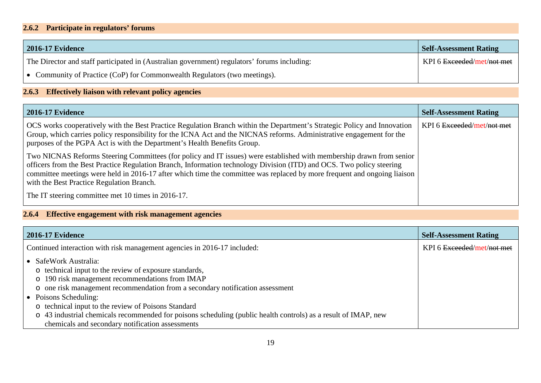### **2.6.2 Participate in regulators' forums**

| 2016-17 Evidence                                                                             | <b>Self-Assessment Rating</b> |
|----------------------------------------------------------------------------------------------|-------------------------------|
| The Director and staff participated in (Australian government) regulators' forums including: | KPI 6 Exceeded/met/not met    |
| • Community of Practice (CoP) for Commonwealth Regulators (two meetings).                    |                               |

### **2.6.3 Effectively liaison with relevant policy agencies**

| 2016-17 Evidence                                                                                                                                                                                                                                                                                                                                                                                                       | <b>Self-Assessment Rating</b> |
|------------------------------------------------------------------------------------------------------------------------------------------------------------------------------------------------------------------------------------------------------------------------------------------------------------------------------------------------------------------------------------------------------------------------|-------------------------------|
| OCS works cooperatively with the Best Practice Regulation Branch within the Department's Strategic Policy and Innovation<br>Group, which carries policy responsibility for the ICNA Act and the NICNAS reforms. Administrative engagement for the<br>purposes of the PGPA Act is with the Department's Health Benefits Group.                                                                                          | KPI 6 Exceeded/met/not met    |
| Two NICNAS Reforms Steering Committees (for policy and IT issues) were established with membership drawn from senior<br>officers from the Best Practice Regulation Branch, Information technology Division (ITD) and OCS. Two policy steering<br>committee meetings were held in 2016-17 after which time the committee was replaced by more frequent and ongoing liaison<br>with the Best Practice Regulation Branch. |                               |
| The IT steering committee met 10 times in 2016-17.                                                                                                                                                                                                                                                                                                                                                                     |                               |

### **2.6.4 Effective engagement with risk management agencies**

<span id="page-18-1"></span><span id="page-18-0"></span>

| <b>2016-17 Evidence</b>                                                                                                                                                                                                                                                                                                                                                                                                                                                   | <b>Self-Assessment Rating</b> |
|---------------------------------------------------------------------------------------------------------------------------------------------------------------------------------------------------------------------------------------------------------------------------------------------------------------------------------------------------------------------------------------------------------------------------------------------------------------------------|-------------------------------|
| Continued interaction with risk management agencies in 2016-17 included:                                                                                                                                                                                                                                                                                                                                                                                                  | KPI 6 Exceeded/met/not met    |
| • SafeWork Australia:<br>o technical input to the review of exposure standards,<br>o 190 risk management recommendations from IMAP<br>o one risk management recommendation from a secondary notification assessment<br>• Poisons Scheduling:<br>o technical input to the review of Poisons Standard<br>o 43 industrial chemicals recommended for poisons scheduling (public health controls) as a result of IMAP, new<br>chemicals and secondary notification assessments |                               |